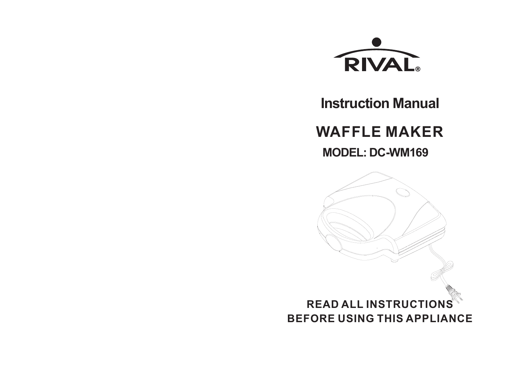

**Instruction Manual**

**WAFFLE MAKER**

**MODEL: DC-WM169**

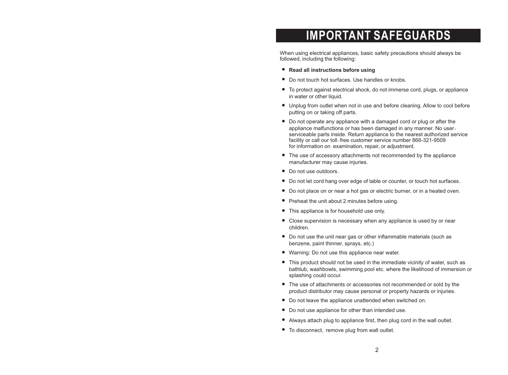## **IMPORTANT SAFEGUARDS**

When using electrical appliances, basic safety precautions should always be followed, including the following:

- **Read all instructions before using**
- Do not touch hot surfaces. Use handles or knobs.
- To protect against electrical shock, do not immerse cord, plugs, or appliance in water or other liquid.
- Unplug from outlet when not in use and before cleaning. Allow to cool before putting on or taking off parts.
- Do not operate any appliance with a damaged cord or plug or after the appliance malfunctions or has been damaged in any manner. No userserviceable parts inside. Return appliance to the nearest authorized service facility or call our toll-free customer service number 866-321-9509 for information on examination, repair, or adjustment.
- The use of accessory attachments not recommended by the appliance manufacturer may cause injuries.
- Do not use outdoors.
- Do not let cord hang over edge of table or counter, or touch hot surfaces.
- Do not place on or near a hot gas or electric burner, or in a heated oven.
- Preheat the unit about 2 minutes before using.
- This appliance is for household use only.
- Close supervision is necessary when any appliance is used by or near children.
- Do not use the unit near gas or other inflammable materials (such as benzene, paint thinner, sprays, etc.)
- Warning: Do not use this appliance near water.
- This product should not be used in the immediate vicinity of water, such as bathtub, washbowls, swimming pool etc. where the likelihood of immersion or splashing could occur.
- The use of attachments or accessories not recommended or sold by the product distributor may cause personal or property hazards or injuries.
- Do not leave the appliance unattended when switched on.
- Do not use appliance for other than intended use.
- Always attach plug to appliance first, then plug cord in the wall outlet.
- To disconnect, remove plug from wall outlet.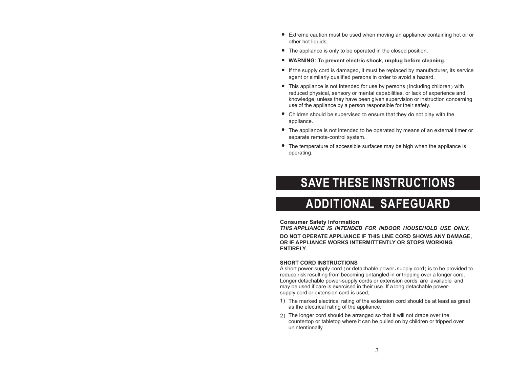- Extreme caution must be used when moving an appliance containing hot oil or other hot liquids.
- The appliance is only to be operated in the closed position.
- **WARNING: To prevent electric shock, unplug before cleaning.**
- If the supply cord is damaged, it must be replaced by manufacturer, its service agent or similarly qualified persons in order to avoid a hazard.
- This appliance is not intended for use by persons (including children) with reduced physical, sensory or mental capabilities, or lack of experience and knowledge, unless they have been given supervision or instruction concerning use of the appliance by a person responsible for their safety.
- Children should be supervised to ensure that they do not play with the appliance.
- The appliance is not intended to be operated by means of an external timer or separate remote-control system.
- The temperature of accessible surfaces may be high when the appliance is operating.

### **SAVE THESE INSTRUCTIONS**

## **ADDITIONAL SAFEGUARD**

#### **Consumer Safety Information**

*THIS APPLIANCE IS INTENDED FOR INDOOR HOUSEHOLD USE ONLY* **. DO NOT OPERATE APPLIANCE IF THIS LINE CORD SHOWS ANY DAMAGE, OR IF APPLIANCE WORKS INTERMITTENTLY OR STOPS WORKING ENTIRELY.**

#### **SHORT CORD INSTRUCTIONS**

A short power-supply cord (or detachable power-supply cord) is to be provided to reduce risk resulting from becoming entangled in or tripping over a longer cord. Longer detachable power-supply cords or extension cords are available and may be used if care is exercised in their use. If a long detachable powersupply cord or extension cord is used,

- 1) The marked electrical rating of the extension cord should be at least as great as the electrical rating of the appliance.
- The longer cord should be arranged so that it will not drape over the 2)countertop or tabletop where it can be pulled on by children or tripped over unintentionally.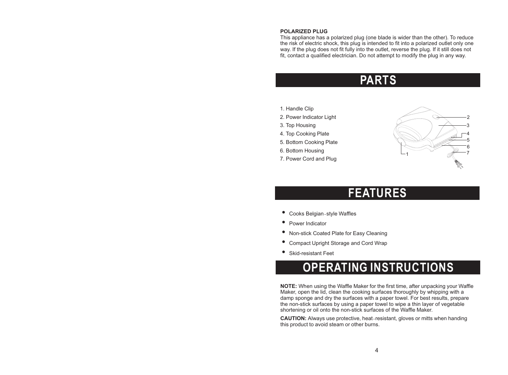#### **POLARIZED PLUG**

This appliance has a polarized plug (one blade is wider than the other). To reduce the risk of electric shock, this plug is intended to fit into a polarized outlet only one way. If the plug does not fit fully into the outlet, reverse the plug. If it still does not fit, contact a qualified electrician. Do not attempt to modify the plug in any way.

### **PARTS**

- 1. Handle Clip
- 2. Power Indicator Light
- 3. Top Housing
- 4. Top Cooking Plate
- 5. Bottom Cooking Plate
- 6. Bottom Housing
- 7. Power Cord and Plug



### **FEATURES**

- Cooks Belgian-style Waffles<br>● Power Indicator
- 
- Non-stick Coated Plate for Easy Cleaning
- Non-stick Coated Plate for Easy Cleaning<br>● Compact Upright Storage and Cord Wrap ■ Compact Upright Storage and Cord Wrap<br>● Skid-resistant Feet
- Skid-resistant Feet

## **OPERATING INSTRUCTIONS**

**NOTE:** When using the Waffle Maker for the first time, after unpacking your Waffle Maker, open the lid, clean the cooking surfaces thoroughly by whipping with a damp sponge and dry the surfaces with a paper towel. For best results, prepare the non-stick surfaces by using a paper towel to wipe a thin layer of vegetable shortening or oil onto the non-stick surfaces of the Waffle Maker.

**CAUTION:** Always use protective, heat-resistant, gloves or mitts when handing this product to avoid steam or other burns.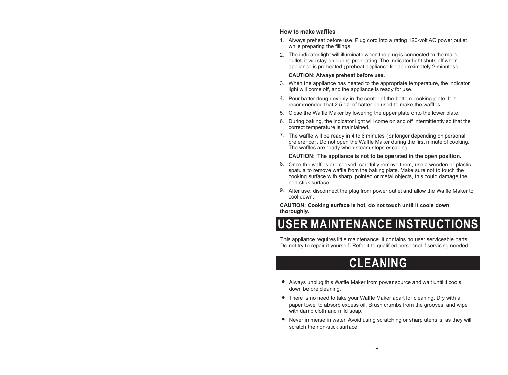#### **How to make waffles**

- Always preheat before use. Plug cord into a rating 120-volt AC power outlet 1. while preparing the fillings.
- The indicator light will illuminate when the plug is connected to the main 2. outlet;it will stay on during preheating. The indicator light shuts off when appliance is preheated (preheat appliance for approximately 2 minutes).

#### **CAUTION: Always preheat before use .**

- When the appliance has heated to the appropriate temperature, the indicator 3. light will come off, and the appliance is ready for use.
- 4. Pour batter dough evenly in the center of the bottom cooking plate. It is recommended that 2.5 oz. of batter be used to make the waffles.
- Close the Waffle Maker by lowering the upper plate onto the lower plate. 5.
- 6. During baking, the indicator light will come on and off intermittently so that the correct temperature is maintained.
- 7. The waffle will be ready in 4 to 6 minutes (or longer depending on personal preference). Do not open the Waffle Maker during the first minute of cooking. The waffles are ready when steam stops escaping.

#### **CAUTION: The appliance is not to be operated in the open position.**

- $8.$  Once the waffles are cooked, carefully remove them, use a wooden or plastic spatula to remove waffle from the baking plate. Make sure not to touch the cooking surface with sharp, pointed or metal objects, this could damage the non-stick surface.
- 9. After use, disconnect the plug from power outlet and allow the Waffle Maker to cool down.

**CAUTION: Cooking surface is hot, do not touch until it cools down thoroughly.**

# **USER MAINTENANCE INSTRUCTIONS**

This appliance requires little maintenance. It contains no user serviceable parts. Do not try to repair it yourself. Refer it to qualified personnel if servicing needed.

### **CLEANING**

- Always unplug this Waffle Maker from power source and wait until it cools down before cleaning.
- There is no need to take your Waffle Maker apart for cleaning. Dry with a paper towel to absorb excess oil. Brush crumbs from the grooves, and wipe with damp cloth and mild soap.
- Never immerse in water. Avoid using scratching or sharp utensils, as they will scratch the non-stick surface.